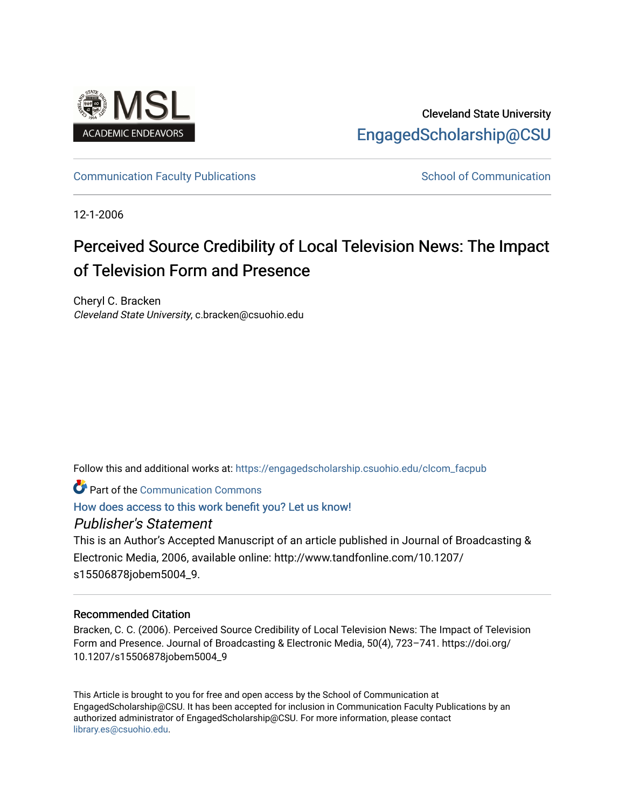

## Cleveland State University [EngagedScholarship@CSU](https://engagedscholarship.csuohio.edu/)

## [Communication Faculty Publications](https://engagedscholarship.csuohio.edu/clcom_facpub) [School of Communication](https://engagedscholarship.csuohio.edu/clcom) School of Communication

12-1-2006

# Perceived Source Credibility of Local Television News: The Impact of Television Form and Presence

Cheryl C. Bracken Cleveland State University, c.bracken@csuohio.edu

Follow this and additional works at: [https://engagedscholarship.csuohio.edu/clcom\\_facpub](https://engagedscholarship.csuohio.edu/clcom_facpub?utm_source=engagedscholarship.csuohio.edu%2Fclcom_facpub%2F26&utm_medium=PDF&utm_campaign=PDFCoverPages) 

Part of the [Communication Commons](http://network.bepress.com/hgg/discipline/325?utm_source=engagedscholarship.csuohio.edu%2Fclcom_facpub%2F26&utm_medium=PDF&utm_campaign=PDFCoverPages) 

[How does access to this work benefit you? Let us know!](http://library.csuohio.edu/engaged/)

## Publisher's Statement

This is an Author's Accepted Manuscript of an article published in Journal of Broadcasting & Electronic Media, 2006, available online: http://www.tandfonline.com/10.1207/ s15506878jobem5004\_9.

## Recommended Citation

Bracken, C. C. (2006). Perceived Source Credibility of Local Television News: The Impact of Television Form and Presence. Journal of Broadcasting & Electronic Media, 50(4), 723–741. https://doi.org/ 10.1207/s15506878jobem5004\_9

This Article is brought to you for free and open access by the School of Communication at EngagedScholarship@CSU. It has been accepted for inclusion in Communication Faculty Publications by an authorized administrator of EngagedScholarship@CSU. For more information, please contact [library.es@csuohio.edu.](mailto:library.es@csuohio.edu)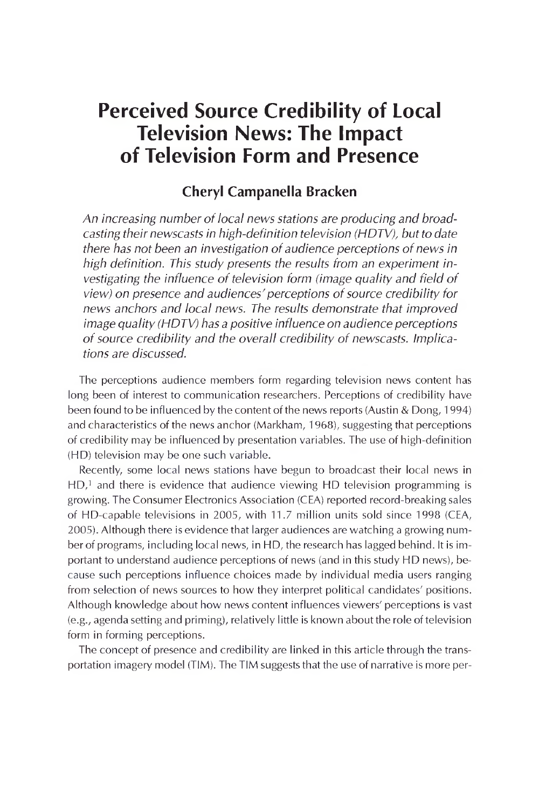## **Perceived Source Credibility of Local Television News: The Impact of Television Form and Presence**

## **Cheryl Campanella Bracken**

*An increasing number oflocal news stations are producing and broadcasting their newscasts in high-definition television (HDTV), but to date there has not been an investigation ofaudience perceptions ofnews in high definition. This study presents the results from an experiment investigating the influence of television form (image quality and field of view) on presence and audiences'perceptions of source credibility for news anchors and local news. The results demonstrate that improved image quality (HDTV) has a positive influence on audience perceptions of source credibility and the overall credibility of newscasts. Implications are discussed.*

The perceptions audience members form regarding television news content has long been of interest to communication researchers. Perceptions of credibility have been found to be influenced by the content of the news reports (Austin & Dong, 1994) and characteristics of the news anchor (Markham, 1968), suggesting that perceptions of credibility may be influenced by presentation variables. The use of high-definition (HD) television may be one such variable.

Recently, some local news stations have begun to broadcast their local news in  $HD<sup>1</sup>$  and there is evidence that audience viewing HD television programming is growing. The Consumer Electronics Association (CEA) reported record-breaking sales of HD-capable televisions in 2005, with 11.7 million units sold since 1998 (CEA, 2005). Although there is evidence that larger audiences are watching a growing number of programs, including local news, in HD, the research has lagged behind. It is important to understand audience perceptions of news (and in this study HD news), because such perceptions influence choices made by individual media users ranging from selection of news sources to how they interpret political candidates' positions. Although knowledge about how news content influences viewers' perceptions is vast (e.g., agenda setting and priming), relatively little is known about the role of television form in forming perceptions.

The concept of presence and credibility are linked in this article through the transportation imagery model (TIM). The TIM suggests that the use of narrative is more per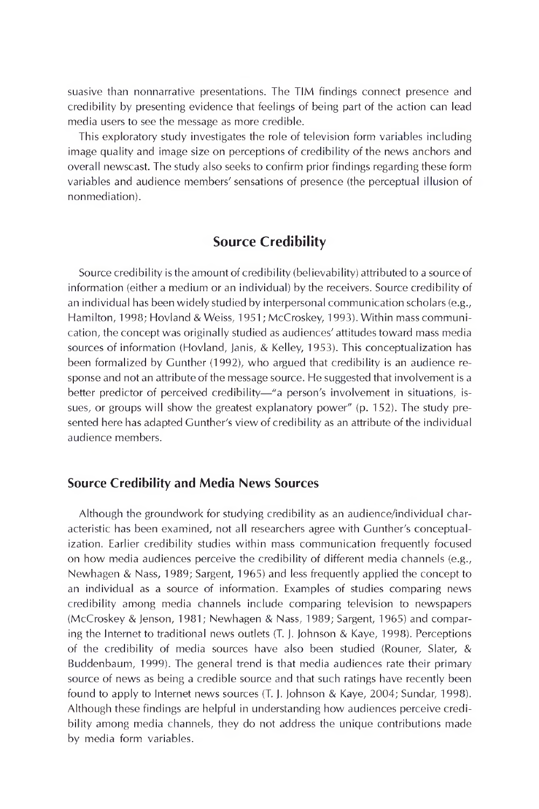suasive than nonnarrative presentations. The TIM findings connect presence and credibility by presenting evidence that feelings of being part of the action can lead media users to see the message as more credible.

This exploratory study investigates the role of television form variables including image quality and image size on perceptions of credibility of the news anchors and overall newscast. The study also seeks to confirm prior findings regarding these form variables and audience members' sensations of presence (the perceptual illusion of nonmediation).

## **Source Credibility**

Source credibility is the amount of credibility (believability) attributed to a source of information (either a medium or an individual) by the receivers. Source credibility of an individual has been widely studied by interpersonal communication scholars (e.g., Hamilton, 1998; Hovland & Weiss, 1951; McCroskey, 1993). Within mass communication, the concept was originally studied as audiences' attitudes toward mass media sources of information (Hovland, Janis, & Kelley, 1953). This conceptualization has been formalized by Gunther (1992), who argued that credibility is an audience response and not an attribute of the message source. He suggested that involvement is a better predictor of perceived credibility—"a person's involvement in situations, issues, or groups will show the greatest explanatory power" (p. 152). The study presented here has adapted Gunther's view of credibility as an attribute of the individual audience members.

#### **Source Credibility and Media News Sources**

Although the groundwork for studying credibility as an audience/individual characteristic has been examined, not all researchers agree with Gunther's conceptualization. Earlier credibility studies within mass communication frequently focused on how media audiences perceive the credibility of different media channels (e.g., Newhagen & Nass, 1989; Sargent, 1965) and less frequently applied the concept to an individual as a source of information. Examples of studies comparing news credibility among media channels include comparing television to newspapers (McCroskey & Jenson, 1981; Newhagen & Nass, 1989; Sargent, 1965) and comparing the Internet to traditional news outlets (T. J. Johnson & Kaye, 1998). Perceptions of the credibility of media sources have also been studied (Rouner, Slater, & Buddenbaum, 1999). The general trend is that media audiences rate their primary source of news as being a credible source and that such ratings have recently been found to apply to Internet news sources (T. J. Johnson & Kaye, 2004; Sundar, 1998). Although these findings are helpful in understanding how audiences perceive credibility among media channels, they do not address the unique contributions made by media form variables.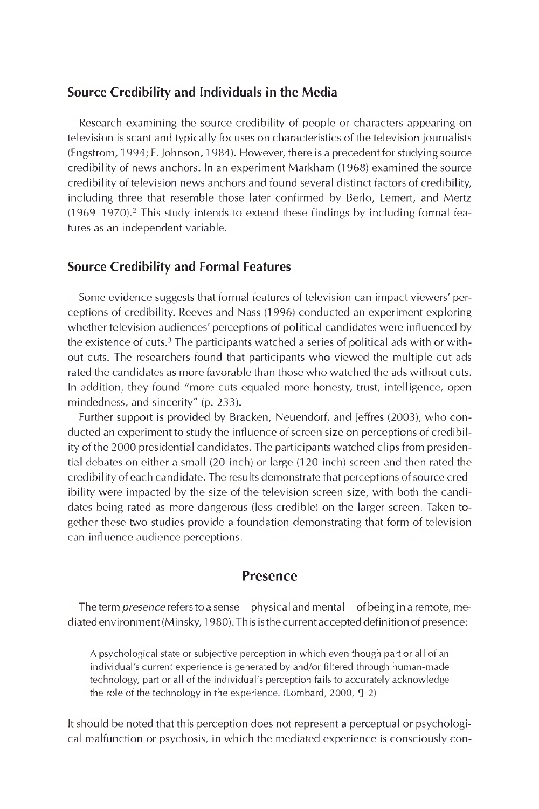### **Source Credibility and Individuals in the Media**

Research examining the source credibility of people or characters appearing on television is scant and typically focuses on characteristics of the television journalists (Engstrom, 1994; E. Johnson, 1984). However, there is a precedent for studying source credibility of news anchors. In an experiment Markham (1968) examined the source credibility of television news anchors and found several distinct factors of credibility, including three that resemble those later confirmed by Berlo, Lemert, and Mertz  $(1969-1970).$ <sup>2</sup> This study intends to extend these findings by including formal features as an independent variable.

#### **Source Credibility and Formal Features**

Some evidence suggests that formal features of television can impact viewers' perceptions of credibility. Reeves and Nass (1996) conducted an experiment exploring whether television audiences' perceptions of political candidates were influenced by the existence of cuts.3 The participants watched a series of political ads with or without cuts. The researchers found that participants who viewed the multiple cut ads rated the candidates as more favorable than those who watched the ads without cuts. In addition, they found "more cuts equaled more honesty, trust, intelligence, open mindedness, and sincerity" (p. 233).

Further support is provided by Bracken, Neuendorf, and Jeffres (2003), who conducted an experiment to study the influence of screen size on perceptions of credibility of the 2000 presidential candidates. The participants watched clips from presidential debates on either a small (20-inch) or large (120-inch) screen and then rated the credibility of each candidate. The results demonstrate that perceptions of source credibility were impacted by the size of the television screen size, with both the candidates being rated as more dangerous (less credible) on the larger screen. Taken together these two studies provide a foundation demonstrating that form of television can influence audience perceptions.

#### **Presence**

The term *presence* refers to <sup>a</sup> sense—physical and mental—ofbeing in <sup>a</sup> remote, mediated environment(Minsky, 1980). This is the current accepted definition of presence:

A psychological state or subjective perception in which even though part or all of an individual's current experience is generated by and/or filtered through human-made technology, part or all of the individual's perception fails to accurately acknowledge the role of the technology in the experience. (Lombard, 2000,  $\mathbb{I}$  2)

It should be noted that this perception does not represent a perceptual or psychological malfunction or psychosis, in which the mediated experience is consciously con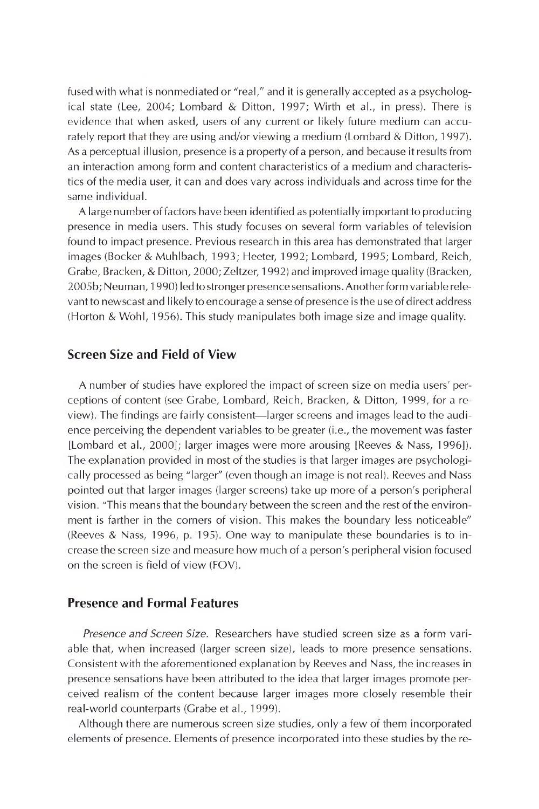fused with what is nonmediated or "real," and it is generally accepted as a psychological state (Lee, 2004; Lombard & Ditton, 1997; Wirth et al., in press). There is evidence that when asked, users of any current or likely future medium can accurately report that they are using and/or viewing a medium (Lombard & Ditton, 1997). As a perceptual illusion, presence is a property of a person, and because it results from an interaction among form and content characteristics of a medium and characteristics of the media user, it can and does vary across individuals and across time for the same individual.

A large number of factors have been identified as potentially important to producing presence in media users. This study focuses on several form variables of television found to impact presence. Previous research in this area has demonstrated that larger images (Bocker & Muhlbach, 1993; Heeter, 1992; Lombard, 1995; Lombard, Reich, Grabe, Bracken, & Ditton, 2000;Zeltzer, 1992) and improved image quality (Bracken, 2005b; Neuman, <sup>1</sup> 990) led to stronger presence sensations. Anotherform variable relevant to newscast and Iikely to encourage a sense of presence is the use of direct address (Horton & Wohl, 1956). This study manipulates both image size and image quality.

### **Screen Size and Field of View**

A number of studies have explored the impact of screen size on media users' perceptions of content (see Grabe, Lombard, Reich, Bracken, & Ditton, 1999, for a review). The findings are fairly consistent—larger screens and images lead to the audience perceiving the dependent variables to be greater (i.e., the movement was faster [Lombard et al., 2000]; larger images were more arousing [Reeves & Nass, 1996]). The explanation provided in most of the studies is that larger images are psychologically processed as being "larger" (even though an image is not real). Reeves and Nass pointed out that larger images (larger screens) take up more of a person's peripheral vision. "This means that the boundary between the screen and the rest of the environment is farther in the corners of vision. This makes the boundary less noticeable" (Reeves & Nass, 1996, p. 195). One way to manipulate these boundaries is to increase the screen size and measure how much of a person's peripheral vision focused on the screen is field of view (FOV).

## **Presence and Formal Features**

*Presence and Screen Size.* Researchers have studied screen size as a form variable that, when increased (larger screen size), leads to more presence sensations. Consistent with the aforementioned explanation by Reeves and Nass, the increases in presence sensations have been attributed to the idea that larger images promote perceived realism of the content because larger images more closely resemble their real-world counterparts (Grabe et al., 1999).

Although there are numerous screen size studies, only a few of them incorporated elements of presence. Elements of presence incorporated into these studies by the re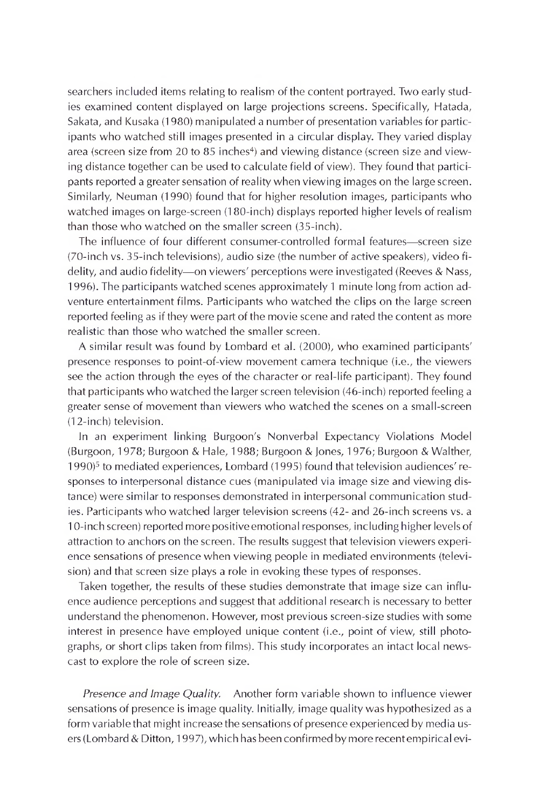searchers included items relating to realism of the content portrayed. Two early studies examined content displayed on large projections screens. Specifically, Hatada, Sakata, and Kusaka (1980) manipulated a number of presentation variables for participants who watched still images presented in a circular display. They varied display area (screen size from 20 to 85 inches<sup>4</sup>) and viewing distance (screen size and viewing distance together can be used to calculate field of view). They found that participants reported a greater sensation of reality when viewing images on the large screen. Similarly, Neuman (1990) found that for higher resolution images, participants who watched images on large-screen (1 80-inch) displays reported higher levels of realism than those who watched on the smaller screen (35-inch).

The influence of four different consumer-controlled formal features—screen size (70-inch vs. 35-inch televisions), audio size (the number of active speakers), video fidelity, and audio fidelity—on viewers' perceptions were investigated (Reeves & Nass, 1996). The participants watched scenes approximately <sup>1</sup> minute long from action adventure entertainment films. Participants who watched the clips on the large screen reported feeling as if they were part of the movie scene and rated the content as more realistic than those who watched the smaller screen.

A similar result was found by Lombard et al. (2000), who examined participants' presence responses to point-of-view movement camera technique (i.e., the viewers see the action through the eyes of the character or real-life participant). They found that participants who watched the larger screen television (46-inch) reported feeling a greater sense of movement than viewers who watched the scenes on a small-screen (12-inch) television.

In an experiment linking Burgoon's Nonverbal Expectancy Violations Model (Burgoon, 1978; Burgoon & Hale, 1988; Burgoon & Jones, <sup>1</sup> 976; Burgoon & Walther,  $1990$ <sup>5</sup> to mediated experiences, Lombard (1995) found that television audiences' responses to interpersonal distance cues (manipulated via image size and viewing distance) were similar to responses demonstrated in interpersonal communication studies. Participants who watched larger television screens (42- and 26-inch screens vs. a 10-inch screen) reported more positiveemotional responses, including higher levels of attraction to anchors on the screen. The results suggest that television viewers experience sensations of presence when viewing people in mediated environments (television) and that screen size plays a role in evoking these types of responses.

Taken together, the results of these studies demonstrate that image size can influence audience perceptions and suggest that additional research is necessary to better understand the phenomenon. However, most previous screen-size studies with some interest in presence have employed unique content (i.e., point of view, still photographs, or short clips taken from films). This study incorporates an intact local newscast to explore the role of screen size.

*Presence and Image Quality.* Another form variable shown to influence viewer sensations of presence is image quality. Initially, image quality was hypothesized as a form variable that might increase the sensations of presence experienced by media users (Lombard & Ditton, 1997), which has been confirmed by more recent empirical evi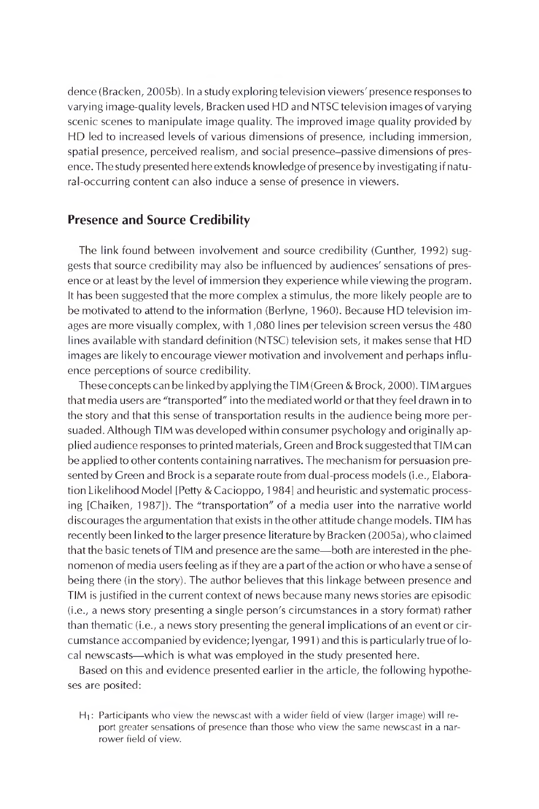dence (Bracken, 2005b). In a study exploring television viewers' presence responses to varying image-quality levels, Bracken used HD and NTSC television images of varying scenic scenes to manipulate image quality. The improved image quality provided by HD led to increased levels of various dimensions of presence, including immersion, spatial presence, perceived realism, and social presence-passive dimensions of presence. The study presented here extends knowledge of presence by investigating if natural-occurring content can also induce a sense of presence in viewers.

## **Presence and Source Credibility**

The link found between involvement and source credibility (Gunther, 1992) suggests that source credibility may also be influenced by audiences' sensations of presence or at least by the level of immersion they experience while viewing the program. It has been suggested that the more complex a stimulus, the more likely people are to be motivated to attend to the information (Berlyne, 1960). Because HD television images are more visually complex, with 1,080 lines per television screen versus the 480 lines available with standard definition (NTSC) television sets, it makes sense that HD images are likely to encourage viewer motivation and involvement and perhaps influence perceptions of source credibility.

Theseconceptscan be linked by applying theTIM (Green & Brock, 2000). TIM argues that media users are "transported" into the mediated world or that they feel drawn in to the story and that this sense of transportation results in the audience being more persuaded. Although TIM was developed within consumer psychology and originally applied audience responses to printed materials, Green and Brock suggested that TIM can be applied to other contents containing narratives. The mechanism for persuasion presented by Green and Brock is a separate route from dual-process models (i.e., Elaboration Likelihood Model [Petty & Cacioppo, 1984] and heuristic and systematic processing [Chaiken, 1987]). The "transportation" of a media user into the narrative world discourages the argumentation that exists in the other attitude change models. TIM has recently been linked to the larger presence literature by Bracken (2005a), who claimed that the basic tenets of TIM and presence are the same—both are interested in the phenomenon of media users feeling as if they area part of the action or who have a sense of being there (in the story). The author believes that this linkage between presence and TIM is justified in the current context of news because many news stories are episodic (i.e., a news story presenting a single person's circumstances in a story format) rather than thematic (i.e., a news story presenting the general implications of an event or circumstance accompanied by evidence; Iyengar, <sup>1</sup> 991) and this is particularly trueof local newscasts—which is what was employed in the study presented here.

Based on this and evidence presented earlier in the article, the following hypotheses are posited:

H1: Participants who view the newscast with <sup>a</sup> wider field of view (larger image) will report greater sensations of presence than those who view the same newscast in a narrower field of view.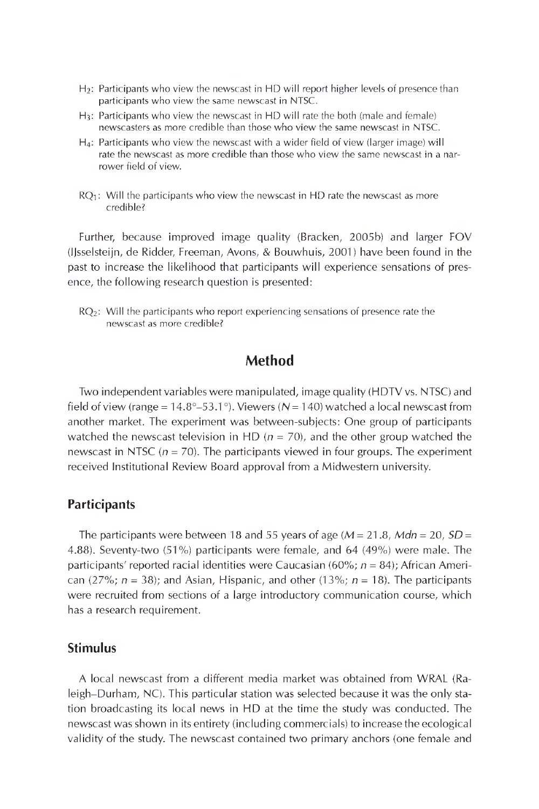- H2: Participants who view the newscast in HD will report higher levels of presence than participants who view the same newscast in NTSC.
- H3: Participants who view the newscast in HD will rate the both (male and female) newscasters as more credible than those who view the same newscast in NTSC.
- H4: Participants who view the newscast with a wider field of view (larger image) will rate the newscast as more credible than those who view the same newscast in a narrower field of view.
- $RQ_1$ : Will the participants who view the newscast in HD rate the newscast as more credible?

Further, because improved image quality (Bracken, 2005b) and larger FOV (IJsselsteijn, de Ridder, Freeman, Avons, & Bouwhuis, 2001) have been found in the past to increase the likelihood that participants will experience sensations of presence, the following research question is presented:

 $RQ<sub>2</sub>$ : Will the participants who report experiencing sensations of presence rate the newscast as more credible?

## **Method**

Two independent variables were manipulated, image quality (HDTV vs. NTSC) and field of view (range  $= 14.8^{\circ} - 53.1^{\circ}$ ). Viewers ( $N = 140$ ) watched a local newscast from another market. The experiment was between-subjects: One group of participants watched the newscast television in HD  $(n = 70)$ , and the other group watched the newscast in NTSC ( $n = 70$ ). The participants viewed in four groups. The experiment received Institutional Review Board approval from a Midwestern university.

## **Participants**

The participants were between 18 and 55 years of age (*M* = 21.8, *Mdn =* 20, *SD =* 4.88). Seventy-two (51%) participants were female, and 64 (49%) were male. The participants' reported racial identities were Caucasian (60%; *n =* 84); African American (27%;  $n = 38$ ); and Asian, Hispanic, and other (13%;  $n = 18$ ). The participants were recruited from sections of a large introductory communication course, which has a research requirement.

## **Stimulus**

A local newscast from a different media market was obtained from WRAL (Raleigh-Durham, NC). This particular station was selected because it was the only station broadcasting its local news in HD at the time the study was conducted. The newscast was shown in its entirety (including commercials) to increase the ecological validity of the study. The newscast contained two primary anchors (one female and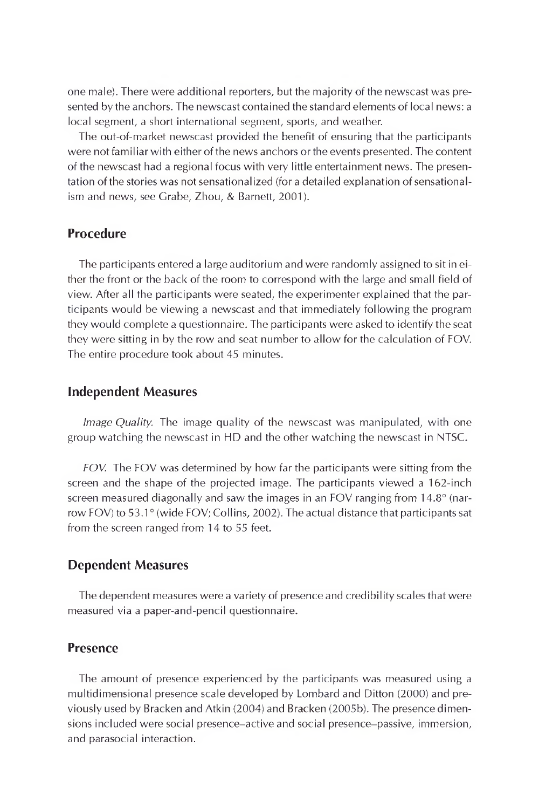one male). There were additional reporters, but the majority of the newscast was presented by the anchors. The newscast contained the standard elements of local news: a local segment, a short international segment, sports, and weather.

The out-of-market newscast provided the benefit of ensuring that the participants were not familiar with either of the news anchors or the events presented. The content of the newscast had a regional focus with very little entertainment news. The presentation of the stories was not sensationalized (for a detailed explanation of sensationalism and news, see Grabe, Zhou, & Barnett, 2001).

## **Procedure**

The participants entered a large auditorium and were randomly assigned to sit in either the front or the back of the room to correspond with the large and small field of view. After all the participants were seated, the experimenter explained that the participants would be viewing a newscast and that immediately following the program they would complete a questionnaire. The participants were asked to identify the seat they were sitting in by the row and seat number to allow for the calculation of FOV. The entire procedure took about 45 minutes.

#### **Independent Measures**

*Image Quality.* The image quality of the newscast was manipulated, with one group watching the newscast in HD and the other watching the newscast in NTSC.

*FOV.* The FOV was determined by how far the participants were sitting from the screen and the shape of the projected image. The participants viewed a 162-inch screen measured diagonally and saw the images in an FOV ranging from 14.8° (narrow FOV) to 53.1 $\degree$  (wide FOV; Collins, 2002). The actual distance that participants sat from the screen ranged from 14 to 55 feet.

#### **Dependent Measures**

The dependent measures were a variety of presence and credibility scales that were measured via a paper-and-pencil questionnaire.

#### **Presence**

The amount of presence experienced by the participants was measured using a multidimensional presence scale developed by Lombard and Ditton (2000) and previously used by Bracken and Atkin (2004) and Bracken (2005b). The presence dimensions included were social presence-active and social presence-passive, immersion, and parasocial interaction.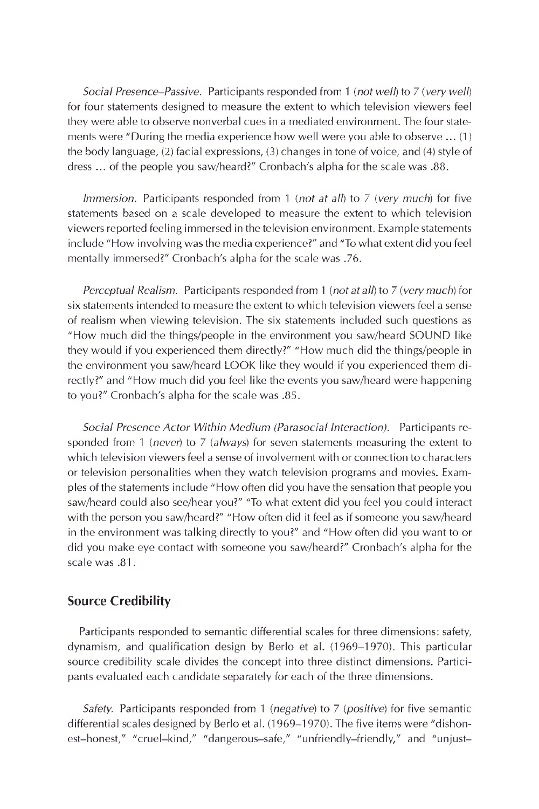*Social Presence-Passive.* Participants responded from <sup>1</sup> *(not well)* to 7 *(very well)* for four statements designed to measure the extent to which television viewers feel they were able to observe nonverbal cues in a mediated environment. The four statements were "During the media experience how well were you able to observe ... (1) the body language, (2) facial expressions, (3) changes in tone of voice, and (4) style of dress ... of the people you saw/heard?" Cronbach's alpha for the scale was .88.

*Immersion.* Participants responded from <sup>1</sup> *(not at all)* to 7 *(very much)* for five statements based on a scale developed to measure the extent to which television viewers reported feeling immersed in the television environment. Example statements include "How involving was the media experience?" and "To what extent did you feel mentally immersed?" Cronbach's alpha for the scale was .76.

*Perceptual Realism.* Participants responded from <sup>1</sup> *(not atall)* to 7 *(very much)* for six statements intended to measure the extent to which television viewers feel a sense of realism when viewing television. The six statements included such questions as "How much did the things/people in the environment you saw/heard SOUND like they would if you experienced them directly?" "How much did the things/people in the environment you saw/heard LOOK like they would if you experienced them directly?" and "How much did you feel like the events you saw/heard were happening to you?" Cronbach's alpha for the scale was .85.

*Social Presence Actor Within Medium (Parasocial Interaction).* Participants responded from <sup>1</sup> *(never)* to 7 *(always)* for seven statements measuring the extent to which television viewers feel a sense of involvement with or connection to characters or television personalities when they watch television programs and movies. Examples of the statements include "How often did you have the sensation that people you saw/heard could also see/hear you?" "To what extent did you feel you could interact with the person you saw/heard?" "How often did it feel as if someone you saw/heard in the environment was talking directly to you?" and "How often did you want to or did you make eye contact with someone you saw/heard?" Cronbach's alpha for the scale was .81.

## **Source Credibility**

Participants responded to semantic differential scales for three dimensions: safety, dynamism, and qualification design by Berio et al. (1969-1970). This particular source credibility scale divides the concept into three distinct dimensions. Participants evaluated each candidate separately for each of the three dimensions.

*Safety.* Participants responded from <sup>1</sup> *(negative)* to 7 *(positive)* for five semantic differential scales designed by Berio et al. (1969-1970). The five items were "dishonest-honest," "cruel-kind," "dangerous-safe," "unfriendly-friendly," and "unjust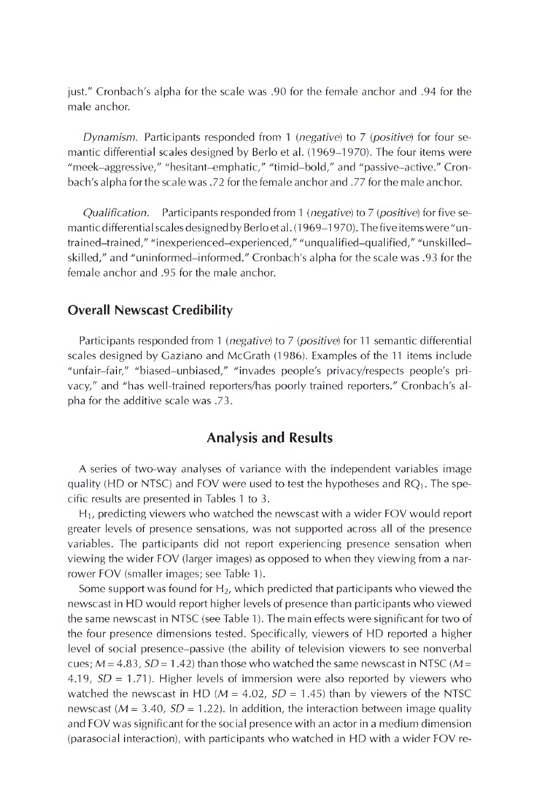just." Cronbach's alpha for the scale was .90 for the female anchor and .94 for the male anchor.

*Dynamism.* Participants responded from 1 *(negative)* to 7 *(positive)* for four semantic differential scales designed by Berio et al. (1969-1970). The four items were "meek-aggressive," "hesitant-emphatic," "timid-bold," and "passive-active." Cronbach's alpha for the scale was .72 for the female anchor and .77 for the male anchor.

*Qualification.* Participants responded from <sup>1</sup> *(negative)* to 7 *(positive)* for five semantic differential scales designed by Berloetal.(1969-1 970). The five items were "untrained-trained," "inexperienced-experienced," "unqualified-qualified," "unskilledskilled," and "uninformed-informed." Cronbach's alpha for the scale was .93 for the female anchor and .95 for the male anchor.

## **Overall Newscast Credibility**

Participants responded from <sup>1</sup> *(negative)* to 7 *(positive)* for <sup>11</sup> semantic differential scales designed by Gaziano and McGrath (1986). Examples of the <sup>11</sup> items include "unfair-fair," "biased-unbiased," "invades people's privacy/respects people's privacy," and "has well-trained reporters/has poorly trained reporters." Cronbach's alpha for the additive scale was .73.

## **Analysis and Results**

A series of two-way analyses of variance with the independent variables image quality (HD or NTSC) and FOV were used to test the hypotheses and  $RQ_1$ . The specific results are presented in Tables <sup>1</sup> to 3.

H1, predicting viewers who watched the newscast with a wider FOV would report greater levels of presence sensations, was not supported across all of the presence variables. The participants did not report experiencing presence sensation when viewing the wider FOV (larger images) as opposed to when they viewing from a narrower FOV (smaller images; see Table 1).

Some support was found for  $H_2$ , which predicted that participants who viewed the newscast in HD would report higher levels of presence than participants who viewed the same newscast in NTSC (see Table 1). The main effects were significant for two of the four presence dimensions tested. Specifically, viewers of HD reported a higher level of social presence-passive (the ability of television viewers to see nonverbal cues;  $M = 4.83$ ,  $SD = 1.42$ ) than those who watched the same newscast in NTSC ( $M =$ 4.19, *SD =* 1.71). Higher levels of immersion were also reported by viewers who watched the newscast in HD  $(M = 4.02, SD = 1.45)$  than by viewers of the NTSC newscast  $(M = 3.40, SD = 1.22)$ . In addition, the interaction between image quality and FOV was significant for the social presence with an actor in a medium dimension (parasocial interaction), with participants who watched in HD with a wider FOV re-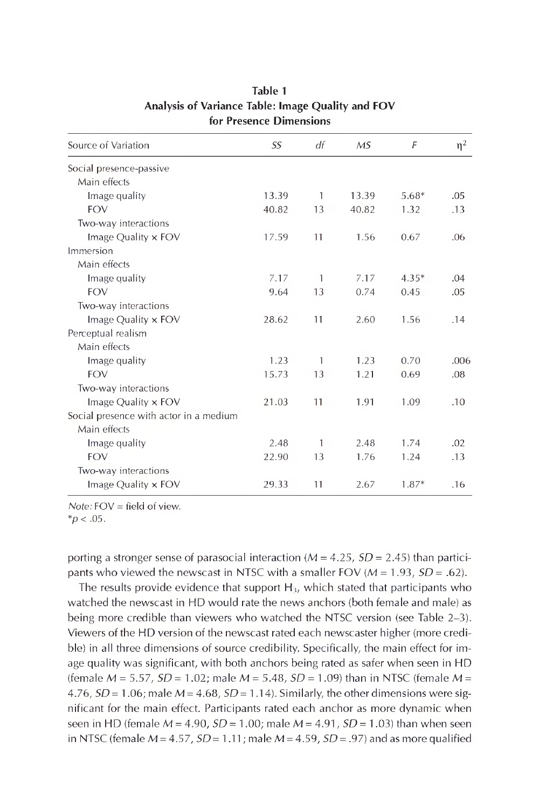| <b>IDI LIESCHLE DIIIEIISIUIS</b>       |       |    |       |         |          |  |  |  |
|----------------------------------------|-------|----|-------|---------|----------|--|--|--|
| Source of Variation                    | SS    | df | MS    | F       | $\eta^2$ |  |  |  |
| Social presence-passive                |       |    |       |         |          |  |  |  |
| Main effects                           |       |    |       |         |          |  |  |  |
| Image quality                          | 13.39 | 1  | 13.39 | $5.68*$ | .05      |  |  |  |
| <b>FOV</b>                             | 40.82 | 13 | 40.82 | 1.32    | .13      |  |  |  |
| Two-way interactions                   |       |    |       |         |          |  |  |  |
| Image Quality x FOV                    | 17.59 | 11 | 1.56  | 0.67    | .06      |  |  |  |
| Immersion                              |       |    |       |         |          |  |  |  |
| Main effects                           |       |    |       |         |          |  |  |  |
| Image quality                          | 7.17  | 1  | 7.17  | $4.35*$ | .04      |  |  |  |
| <b>FOV</b>                             | 9.64  | 13 | 0.74  | 0.45    | .05      |  |  |  |
| Two-way interactions                   |       |    |       |         |          |  |  |  |
| Image Quality x FOV                    | 28.62 | 11 | 2.60  | 1.56    | .14      |  |  |  |
| Perceptual realism                     |       |    |       |         |          |  |  |  |
| Main effects                           |       |    |       |         |          |  |  |  |
| Image quality                          | 1.23  | 1  | 1.23  | 0.70    | .006     |  |  |  |
| <b>FOV</b>                             | 15.73 | 13 | 1.21  | 0.69    | .08      |  |  |  |
| Two-way interactions                   |       |    |       |         |          |  |  |  |
| Image Quality x FOV                    | 21.03 | 11 | 1.91  | 1.09    | .10      |  |  |  |
| Social presence with actor in a medium |       |    |       |         |          |  |  |  |
| Main effects                           |       |    |       |         |          |  |  |  |
| Image quality                          | 2.48  | 1  | 2.48  | 1.74    | .02      |  |  |  |
| <b>FOV</b>                             | 22.90 | 13 | 1.76  | 1.24    | .13      |  |  |  |
| Two-way interactions                   |       |    |       |         |          |  |  |  |
| Image Quality x FOV                    | 29.33 | 11 | 2.67  | 1.87*   | .16      |  |  |  |
|                                        |       |    |       |         |          |  |  |  |

### **Table <sup>1</sup> Analysis of Variance Table: Image Quality and FOV for Presence Dimensions**

*Note:* FOV = field of view.

 $*p < .05$ .

porting a stronger sense of parasocial interaction  $(M = 4.25, SD = 2.45)$  than participants who viewed the newscast in NTSC with a smaller FOV *(M* = 1.93, *SD =* .62).

The results provide evidence that support  $H_3$ , which stated that participants who watched the newscast in HD would rate the news anchors (both female and male) as being more credible than viewers who watched the NTSC version (see Table 2-3). Viewers of the HD version of the newscast rated each newscaster higher (more credible) in all three dimensions of source credibility. Specifically, the main effect for image quality was significant, with both anchors being rated as safer when seen in HD (female  $M = 5.57$ ,  $SD = 1.02$ ; male  $M = 5.48$ ,  $SD = 1.09$ ) than in NTSC (female  $M =$ 4.76,  $SD = 1.06$ ; male  $M = 4.68$ ,  $SD = 1.14$ ). Similarly, the other dimensions were significant for the main effect. Participants rated each anchor as more dynamic when seen in HD (female *M =* 4.90, *SD =* 1.00; male *M =* 4.91, *SD =* 1.03) than when seen in NTSC (female  $M = 4.57$ ,  $SD = 1.11$ ; male  $M = 4.59$ ,  $SD = .97$ ) and as more qualified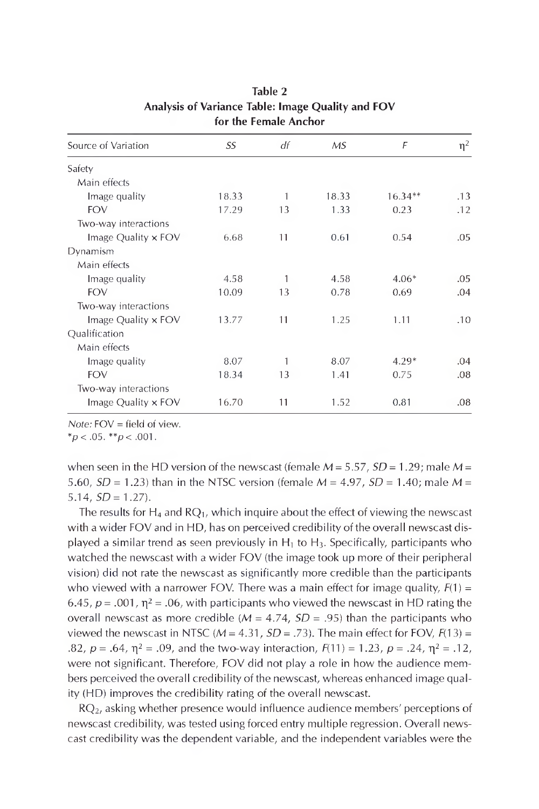| for the Female Anchor      |       |    |       |           |          |  |  |  |
|----------------------------|-------|----|-------|-----------|----------|--|--|--|
| Source of Variation        | SS    | df | МS    | F         | $\eta^2$ |  |  |  |
| Safety                     |       |    |       |           |          |  |  |  |
| Main effects               |       |    |       |           |          |  |  |  |
| Image quality              | 18.33 | 1  | 18.33 | $16.34**$ | .13      |  |  |  |
| <b>FOV</b>                 | 17.29 | 13 | 1.33  | 0.23      | .12      |  |  |  |
| Two-way interactions       |       |    |       |           |          |  |  |  |
| Image Quality x FOV        | 6.68  | 11 | 0.61  | 0.54      | .05      |  |  |  |
| Dynamism                   |       |    |       |           |          |  |  |  |
| Main effects               |       |    |       |           |          |  |  |  |
| Image quality              | 4.58  | 1  | 4.58  | $4.06*$   | .05      |  |  |  |
| <b>FOV</b>                 | 10.09 | 13 | 0.78  | 0.69      | .04      |  |  |  |
| Two-way interactions       |       |    |       |           |          |  |  |  |
| Image Quality $\times$ FOV | 13.77 | 11 | 1.25  | 1.11      | .10      |  |  |  |
| Qualification              |       |    |       |           |          |  |  |  |
| Main effects               |       |    |       |           |          |  |  |  |
| Image quality              | 8.07  | 1  | 8.07  | $4.29*$   | .04      |  |  |  |
| <b>FOV</b>                 | 18.34 | 13 | 1.41  | 0.75      | .08      |  |  |  |
| Two-way interactions       |       |    |       |           |          |  |  |  |
| Image Quality $\times$ FOV | 16.70 | 11 | 1.52  | 0.81      | .08      |  |  |  |

## **Table 2 Analysis of Variance Table: Image Quality and FOV for the Female Anchor**

*Note:* FOV = field of view,

 $**p* < .05.$   $**p* < .001.$ 

when seen in the HD version of the newscast (female  $M = 5.57$ ,  $SD = 1.29$ ; male  $M =$ 5.60,  $SD = 1.23$ ) than in the NTSC version (female  $M = 4.97$ ,  $SD = 1.40$ ; male  $M =$ 5.14,  $SD = 1.27$ ).

The results for  $H_4$  and  $RQ_1$ , which inquire about the effect of viewing the newscast with a wider FOV and in HD, has on perceived credibility of the overall newscast displayed a similar trend as seen previously in  $H_1$  to  $H_3$ . Specifically, participants who watched the newscast with a wider FOV (the image took up more of their peripheral vision) did not rate the newscast as significantly more credible than the participants who viewed with a narrower FOV. There was a main effect for image quality,  $F(1) =$ 6.45,  $p = .001$ ,  $\eta^2 = .06$ , with participants who viewed the newscast in HD rating the overall newscast as more credible  $(M = 4.74, SD = .95)$  than the participants who viewed the newscast in NTSC ( $M = 4.31$ ,  $SD = .73$ ). The main effect for FOV,  $F(13) =$ .82,  $p = .64$ ,  $\eta^2 = .09$ , and the two-way interaction,  $F(11) = 1.23$ ,  $p = .24$ ,  $\eta^2 = .12$ , were not significant. Therefore, FOV did not play a role in how the audience members perceived the overall credibility of the newscast, whereas enhanced image quality (HD) improves the credibility rating of the overall newscast.

 $RQ<sub>2</sub>$ , asking whether presence would influence audience members' perceptions of newscast credibility, was tested using forced entry multiple regression. Overall newscast credibility was the dependent variable, and the independent variables were the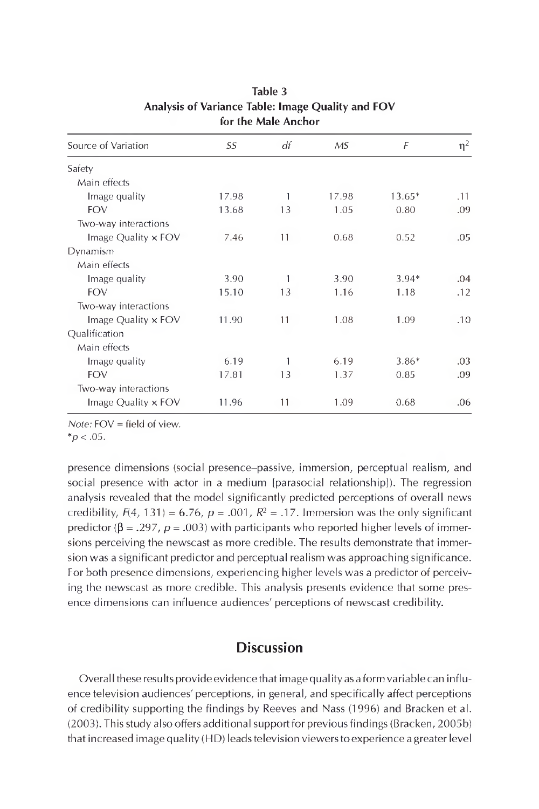| for the Male Anchor        |       |    |       |         |          |  |  |  |
|----------------------------|-------|----|-------|---------|----------|--|--|--|
| Source of Variation        | SS    | df | МS    | F       | $\eta^2$ |  |  |  |
| Safety                     |       |    |       |         |          |  |  |  |
| Main effects               |       |    |       |         |          |  |  |  |
| Image quality              | 17.98 |    | 17.98 | 13.65*  | .11      |  |  |  |
| <b>FOV</b>                 | 13.68 | 13 | 1.05  | 0.80    | .09      |  |  |  |
| Two-way interactions       |       |    |       |         |          |  |  |  |
| Image Quality $\times$ FOV | 7.46  | 11 | 0.68  | 0.52    | .05      |  |  |  |
| Dynamism                   |       |    |       |         |          |  |  |  |
| Main effects               |       |    |       |         |          |  |  |  |
| Image quality              | 3.90  |    | 3.90  | $3.94*$ | .04      |  |  |  |
| <b>FOV</b>                 | 15.10 | 13 | 1.16  | 1.18    | .12      |  |  |  |
| Two-way interactions       |       |    |       |         |          |  |  |  |
| Image Quality $\times$ FOV | 11.90 | 11 | 1.08  | 1.09    | .10      |  |  |  |
| Qualification              |       |    |       |         |          |  |  |  |
| Main effects               |       |    |       |         |          |  |  |  |
| Image quality              | 6.19  |    | 6.19  | $3.86*$ | .03      |  |  |  |
| <b>FOV</b>                 | 17.81 | 13 | 1.37  | 0.85    | .09      |  |  |  |
| Two-way interactions       |       |    |       |         |          |  |  |  |
| Image Quality $\times$ FOV | 11.96 | 11 | 1.09  | 0.68    | .06      |  |  |  |
|                            |       |    |       |         |          |  |  |  |

## **Table 3 Analysis of Variance Table: Image Quality and FOV**

*Note:* FOV = field of view.

*\*p<.05.*

presence dimensions (social presence-passive, immersion, perceptual realism, and social presence with actor in a medium [parasocial relationship]). The regression analysis revealed that the model significantly predicted perceptions of overall news credibility,  $F(4, 131) = 6.76$ ,  $p = .001$ ,  $R^2 = .17$ . Immersion was the only significant predictor ( $\beta = .297$ ,  $p = .003$ ) with participants who reported higher levels of immersions perceiving the newscast as more credible. The results demonstrate that immersion was a significant predictor and perceptual realism was approaching significance. For both presence dimensions, experiencing higher levels was a predictor of perceiving the newscast as more credible. This analysis presents evidence that some presence dimensions can influence audiences' perceptions of newscast credibility.

## **Discussion**

Overall these results provide evidence that image quality as a form variable can influence television audiences' perceptions, in general, and specifically affect perceptions of credibility supporting the findings by Reeves and Nass (1 996) and Bracken et al. (2003). This study also offers additional support for previous findings (Bracken, 2005b) that increased image quality (HD) leads television viewers to experience a greater level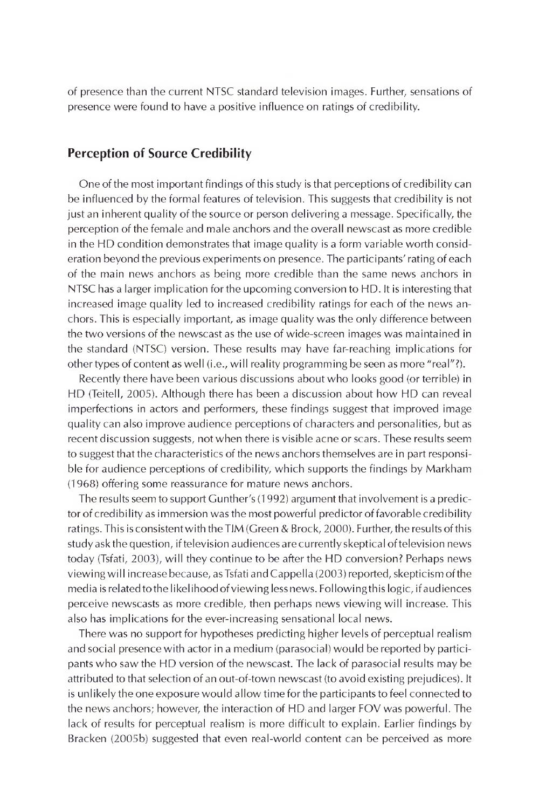of presence than the current NTSC standard television images. Further, sensations of presence were found to have a positive influence on ratings of credibility.

## **Perception of Source Credibility**

One of the most important findings of this study is that perceptions of credibility can be influenced by the formal features of television. This suggests that credibility is not just an inherent quality of the source or person delivering a message. Specifically, the perception of the female and male anchors and the overall newscast as more credible in the HD condition demonstrates that image quality is a form variable worth consideration beyond the previous experiments on presence. The participants' rating of each of the main news anchors as being more credible than the same news anchors in NTSC has a larger implication for the upcoming conversion to HD. It is interesting that increased image quality led to increased credibility ratings for each of the news anchors. This is especially important, as image quality was the only difference between the two versions of the newscast as the use of wide-screen images was maintained in the standard (NTSC) version. These results may have far-reaching implications for other types of content as well (i.e., will reality programming be seen as more "real"?).

Recently there have been various discussions about who looks good (or terrible) in HD (Teitell, 2005). Although there has been a discussion about how HD can reveal imperfections in actors and performers, these findings suggest that improved image quality can also improve audience perceptions of characters and personalities, but as recent discussion suggests, not when there is visible acne or scars. These results seem to suggest that the characteristics of the news anchors themselves are in part responsible for audience perceptions of credibility, which supports the findings by Markham (1968) offering some reassurance for mature news anchors.

The results seem to support Gunther's (1992) argument that involvement is a predictor of credibility as immersion was the most powerful predictor of favorable credibility ratings. This is consistentwith the TIM (Green & Brock, 2000). Further, the results of this study ask the question, if television audiences are currently skeptical oftelevision news today (Tsfati, 2003), will they continue to be after the HD conversion? Perhaps news viewing will increase because, as Tsfati andCappella(2003) reported, skepticism ofthe media is related to the likelihood ofviewing less news. Followingthis logic, ifaudiences perceive newscasts as more credible, then perhaps news viewing will increase. This also has implications for the ever-increasing sensational local news.

There was no support for hypotheses predicting higher levels of perceptual realism and social presence with actor in a medium (parasocial) would be reported by participants who saw the HD version of the newscast. The lack of parasocial results may be attributed to that selection of an out-of-town newscast (to avoid existing prejudices). It is unlikely the one exposure would allow time for the participants to feel connected to the news anchors; however, the interaction of HD and larger FOV was powerful. The lack of results for perceptual realism is more difficult to explain. Earlier findings by Bracken (2005b) suggested that even real-world content can be perceived as more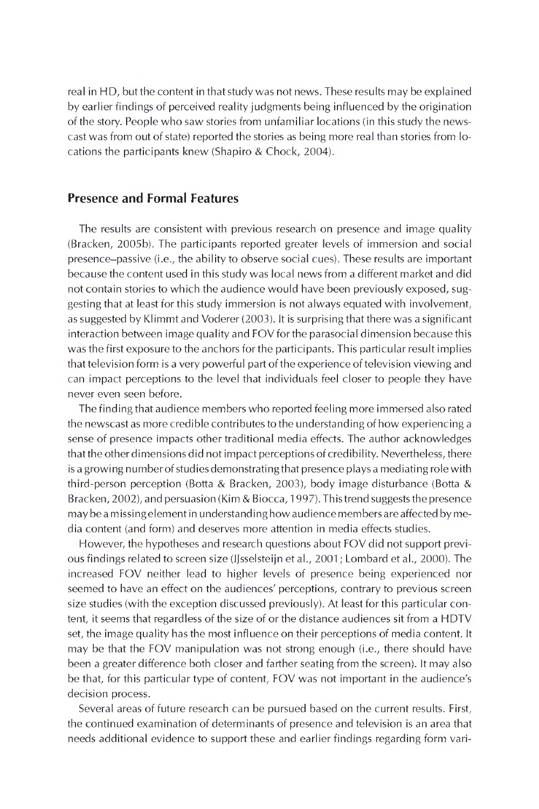real in HD, but the content in that study was not news. These results may be explained by earlier findings of perceived reality judgments being influenced by the origination of the story. People who saw stories from unfamiliar locations (in this study the newscast was from out of state) reported the stories as being more real than stories from locations the participants knew (Shapiro & Chock, 2004).

## **Presence and Formal Features**

The results are consistent with previous research on presence and image quality (Bracken, 2005b). The participants reported greater levels of immersion and social presence-passive (i.e., the ability to observe social cues). These results are important because the content used in this study was local news from a different market and did not contain stories to which the audience would have been previously exposed, suggesting that at least for this study immersion is not always equated with involvement, as suggested by Klimmt and Voderer (2003). It is surprising that there was a significant interaction between image quality and FOV for the parasocial dimension because this was the first exposure to the anchors for the participants. This particular result implies that television form is a very powerful partof the experience of television viewing and can impact perceptions to the level that individuals feel closer to people they have never even seen before.

The finding that audience members who reported feeling more immersed also rated the newscast as more credible contributes to the understanding of how experiencing a sense of presence impacts other traditional media effects. The author acknowledges that the other dimensions did not impact perceptions of credibility. Nevertheless, there is a growing number of studies demonstrating that presence plays a mediating role with third-person perception (Botta & Bracken, 2003), body image disturbance (Botta & Bracken, 2002), and persuasion (Kim & Biocca, 1997). This trend suggests the presence may be a missingelement in understanding how audience members are affected by media content (and form) and deserves more attention in media effects studies.

However, the hypotheses and research questions about FOV did not support previous findings related to screen size (IJsselsteijn et al., 2001; Lombard et al., 2000). The increased FOV neither lead to higher levels of presence being experienced nor seemed to have an effect on the audiences' perceptions, contrary to previous screen size studies (with the exception discussed previously). At least for this particular content, it seems that regardless of the size of or the distance audiences sit from a HDTV set, the image quality has the most influence on their perceptions of media content. It may be that the FOV manipulation was not strong enough (i.e., there should have been a greater difference both closer and farther seating from the screen). It may also be that, for this particular type of content, FOV was not important in the audience's decision process.

Several areas of future research can be pursued based on the current results. First, the continued examination of determinants of presence and television is an area that needs additional evidence to support these and earlier findings regarding form vari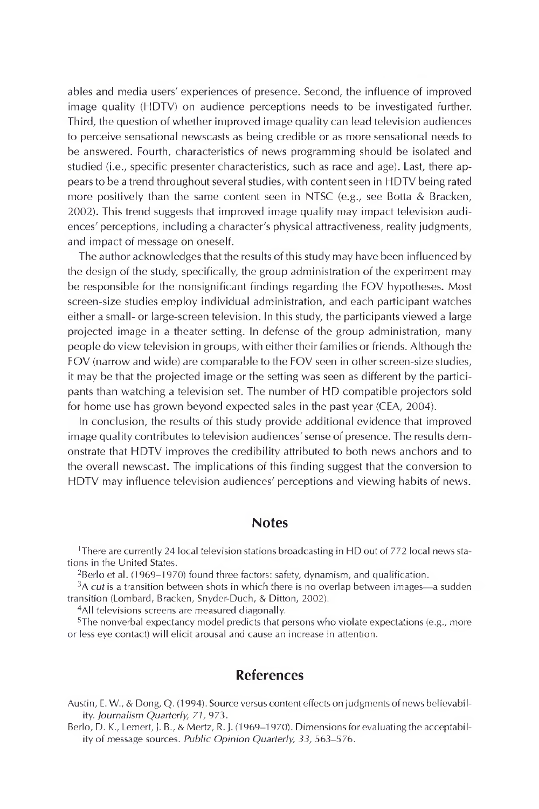ables and media users' experiences of presence. Second, the influence of improved image quality (HDTV) on audience perceptions needs to be investigated further. Third, the question of whether improved image quality can lead television audiences to perceive sensational newscasts as being credible or as more sensational needs to be answered. Fourth, characteristics of news programming should be isolated and studied (i.e., specific presenter characteristics, such as race and age). Last, there appears to be a trend throughout several studies, with content seen in HDTV being rated more positively than the same content seen in NTSC (e.g., see Botta & Bracken, 2002). This trend suggests that improved image quality may impact television audiences' perceptions, including a character's physical attractiveness, reality judgments, and impact of message on oneself.

The author acknowledges that the results of this study may have been influenced by the design of the study, specifically, the group administration of the experiment may be responsible for the nonsignificant findings regarding the FOV hypotheses. Most screen-size studies employ individual administration, and each participant watches either a small- or large-screen television. In this study, the participants viewed a large projected image in a theater setting. In defense of the group administration, many people do view television in groups, with either their families or friends. Although the FOV (narrow and wide) are comparable to the FOV seen in other screen-size studies, it may be that the projected image or the setting was seen as different by the participants than watching a television set. The number of HD compatible projectors sold for home use has grown beyond expected sales in the past year (CEA, 2004).

In conclusion, the results of this study provide additional evidence that improved image quality contributes to television audiences'sense of presence. The results demonstrate that HDTV improves the credibility attributed to both news anchors and to the overall newscast. The implications of this finding suggest that the conversion to HDTV may influence television audiences' perceptions and viewing habits of news.

### **Notes**

 $1$ There are currently 24 local television stations broadcasting in HD out of 772 local news stations in the United States.

 $2B$ erlo et al. (1969–1970) found three factors: safety, dynamism, and qualification.

 $3A$  cut is a transition between shots in which there is no overlap between images—a sudden transition (Lombard, Bracken, Snyder-Duch, & Ditton, 2002).

<sup>4</sup>All televisions screens are measured diagonally.

5The nonverbal expectancy model predicts that persons who violate expectations (e.g., more or less eye contact) will elicit arousal and cause an increase in attention.

## **References**

Austin, E. W., & Dong, Q. (1994). Source versus content effects on judgments of news believability. *Journalism Quarterly, 71*, 973.

Berio, D. K., Lemert, J. B., & Mertz, R. J. (1969-1970). Dimensions for evaluating the acceptability of message sources. *Public Opinion Quarterly, 33,* 563-576.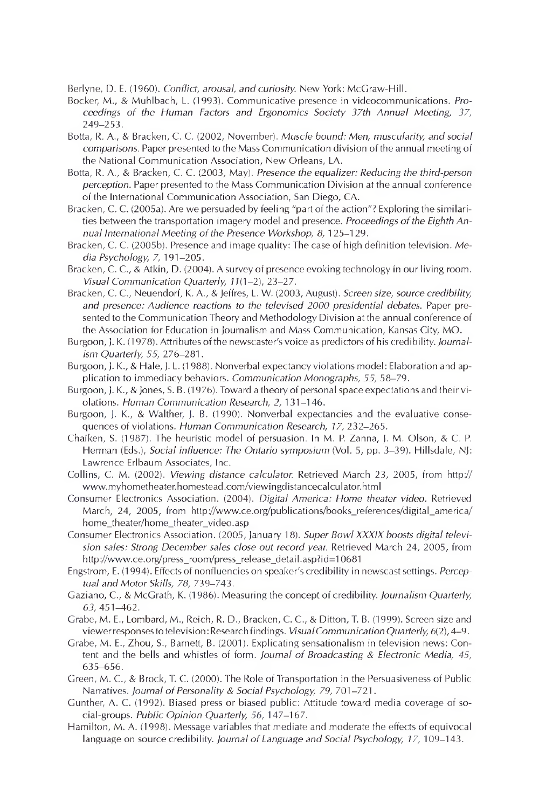Berlyne, D. E. (1960). *Conflict, arousal, and curiosity.* New York: McGraw-Hill.

- Bocker, M., & Muhlbach, L. (1993). Communicative presence in videocommunications. Pro*ceedings of the Human Factors and Ergonomics Society 37th Annual Meeting, 37,* 249-253.
- Botta, R. A., & Bracken, C. C. (2002, November). *Muscle bound: Men, muscularity, and social comparisons.* Paper presented to the Mass Communication division ofthe annual meeting of the National Communication Association, New Orleans, LA.
- Botta, R. A., & Bracken, C. C. (2003, May). *Presence the equalizer: Reducing the third-person perception.* Paper presented to the Mass Communication Division at the annual conference of the International Communication Association, San Diego, CA.
- Bracken, C. C. (2005a). Are we persuaded by feeling "part of the action"? Exploring the similarities between the transportation imagery model and presence. *Proceedings ofthe Eighth Annual International Meeting ofthe Presence Workshop, 8,* <sup>1</sup> 25-1 29.
- Bracken, C. C. (2005b). Presence and image quality: The case of high definition television. *Media Psychology, 7,* 191-205.
- Bracken, C. C., & Atkin, D. (2004). A survey of presence evoking technology in our living room. *Visual Communication Quarterly,* 11(1-2), 23-27.
- Bracken, C. C., Neuendorf, K. A., & Jeffres, L. W. (2003, August). *Screen size, source credibility, and presence: Audience reactions to the televised 2000 presidential debates.* Paper presented to the Communication Theory and Methodology Division at the annual conference of the Association for Education in Journalism and Mass Communication, Kansas City, MO.
- Burgoon, J. K. (1978). Attributes of the newscaster's voice as predictors of his credibility. *Journalism Quarterly, 55,* 276-281.
- Burgoon, J. K., & Hale, J. L. (1988). Nonverbal expectancy violations model: Elaboration and application to immediacy behaviors. *Communication Monographs, 55,* 58-79.
- Burgoon, J. K., & Jones, S. B. (1976). Toward a theory of personal space expectations and their violations. *Human Communication Research, 2,* 131-146.
- Burgoon, J. K., & Walther, J. B. (1990). Nonverbal expectancies and the evaluative consequences of violations. *Human Communication Research, 17,* 232-265.
- Chaiken, S. (1987). The heuristic model of persuasion. In M. P. Zanna, J. M. Olson, & C. P. Herman (Eds.), *Social influence: The Ontario symposium* (Vol. 5, pp. 3-39). Hillsdale, NJ: Lawrence Erlbaum Associates, Inc.
- Collins, C. M. (2002). *Viewing distance calculator.* Retrieved March 23, 2005, from http:// [www.myhometheater.homestead.com/viewingdistancecalculator.html](http://www.myhometheater.homestead.com/viewingdistancecalculator.html)
- Consumer Electronics Association. (2004). *Digital America: Home theater video.* Retrieved March, 24, 2005, from [http://www.ce.org/publications/books\\_references/digital\\_america/](http://www.ce.org/publications/books_references/digital_america/) home\_theater/home\_theater\_video.asp
- Consumer Electronics Association. (2005, January <sup>1</sup> 8). *Super Bowl XXXIX boosts digital television sales: Strong December sales close out record year.* Retrieved March 24, 2005, from [http://www.ce.org/press\\_room/press\\_release\\_detai](http://www.ce.org/press_room/press_release_detai)l.asp?id=10681
- Engstrom, E. (1994). Effects of nonfluencies on speaker's credibility in newscast settings. *Perceptual and Motor Skills, 78,* 739-743.
- Gaziano, C., & McGrath, K. (1986). Measuring the concept of credibility. *Journalism Quarterly, 63,* 451-462.
- Grabe, M. E., Lombard, M., Reich, R. D., Bracken, C. C., & Ditton, T. B. (1999). Screen size and viewerresponses totelevision: Research findings. *VisualCommunication Quarterly,* 6(2), 4-9.
- Grabe, M. E., Zhou, S., Barnett, B. (2001). Explicating sensationalism in television news: Content and the bells and whistles of form. *Journal of Broadcasting & Electronic Media, 45,* 635-656.
- Green, M. C., & Brock, T. C. (2000). The Role of Transportation in the Persuasiveness of Public Narratives. *Journal of Personality & Social Psychology, 79,* 701-721.
- Gunther, A. C. (1992). Biased press or biased public: Attitude toward media coverage of social-groups. *Public Opinion Quarterly, 56,* 147-167.
- Hamilton, M. A. (1998). Message variables that mediate and moderate the effects of equivocal language on source credibility. *Journal ofLanguage and Social Psychology, 17,* 109-143.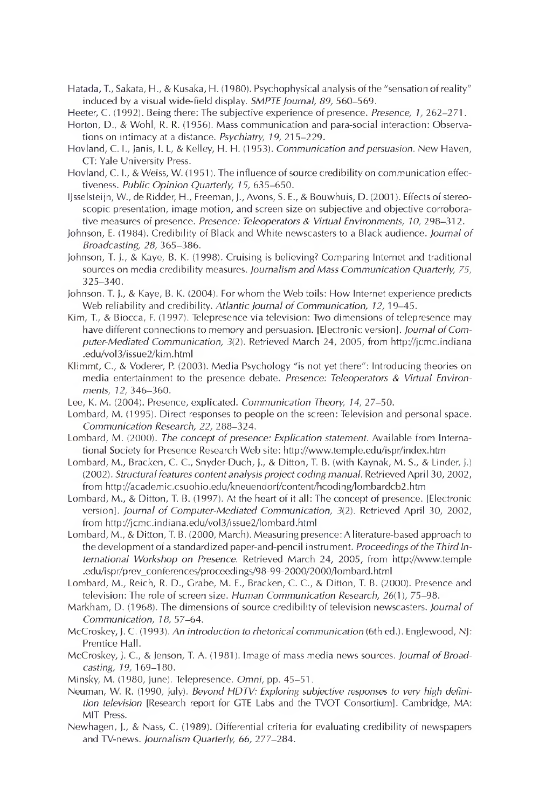Hatada, T., Sakata, H., & Kusaka, H. (1980). Psychophysical analysis of the "sensation of reality" induced by a visual wide-field display. *SMPTE Journal, 89,* 560-569.

Heeter, C. (1992). Being there: The subjective experience of presence. *Presence, 1,* 262-271.

- Horton, D., & Wohl, R. R. (1956). Mass communication and para-social interaction: Observations on intimacy at a distance. *Psychiatry, 19,* 21 5-229.
- Hovland, C. I., Janis, I. L, & Kelley, H. H. (1953). *Communication and persuasion.* New Haven, CT: Yale University Press.
- Hovland, C. I., & Weiss, W. (1951). The influence of source credibility on communication effectiveness. *Public Opinion Quarterly, 15,* 635-650.
- IJsselsteijn, W., de Ridder, H., Freeman, J., Avons, S. E., & Bouwhuis, D. (2001). Effects of stereoscopic presentation, image motion, and screen size on subjective and objective corroborative measures of presence. *Presence: Teleoperators & Virtual Environments, 10,* 298-31 2.
- Johnson, E. (1984). Credibility of Black and White newscasters to <sup>a</sup> Black audience. *Journal of Broadcasting, 28,* 365-386.
- Johnson, T. J., & Kaye, B. K. (1998). Cruising is believing? Comparing Internet and traditional sources on media credibility measures. *Journalism and Mass Communication Quarterly, 75,* 325-340.
- Johnson. T. J., & Kaye, B. K. (2004). For whom the Web toils: How Internet experience predicts Web reliability and credibility. *Atlantic Journal of Communication, 12,* <sup>1</sup> 9-45.
- Kim, T., & Biocca, F. (1997). Telepresence via television: Two dimensions of telepresence may have different connections to memory and persuasion. [Electronic version]. *Journal ofComputer-Mediated Communication,* 3(2). Retrieved March 24, 2005, from http://jcmc.indiana .edu∕vol 3∕issue2∕kim.html
- Klimmt, C., & Voderer, P. (2003). Media Psychology "is not yet there": Introducing theories on media entertainment to the presence debate. *Presence: Teleoperators & Virtual Environments, 12,* 346-360.
- Lee, K. M. (2004). Presence, explicated. *Communication Theory, 14,* 27-50.
- Lombard, M. (1995). Direct responses to people on the screen: Television and personal space. *Communication Research, 22,* 288-324.
- Lombard, M. (2000). *The concept of presence: Explication statement.* Available from International Society for Presence Research Web site: <http://www.temple.edu/ispr/index.htm>
- Lombard, M., Bracken, C. C., Snyder-Duch, J., & Ditton, T. B. (with Kaynak, M. S., & Linder, J.) (2002). *Structural features contentanalysis project coding manual.* Retrieved April 30, 2002, from <http://academic.csuohio.edu/kneuendorf/content/hcoding/lombardcb2.htm>
- Lombard, M., & Ditton, T. B. (1997). At the heart of it all: The concept of presence. [Electronic version]. *Journal of Computer-Mediated Communication,* 3(2). Retrieved April 30, 2002, from <http://jcmc.indiana.edu/vol3/issue2/lombard.html>
- Lombard, M., & Ditton, T. B. (2000, March). Measuring presence: A literature-based approach to the development of a standardized paper-and-pencil instrument. *Proceedings of the Third International Workshop on Presence.* Retrieved March 24, 2005, from <http://www.temple> .edu∕ispr∕prev-conferences∕proceedings∕98-99-2000∕2000∕lombard.html
- Lombard, M., Reich, R. D., Grabe, M. E., Bracken, C. C., & Ditton, T. B. (2000). Presence and television: The role of screen size. *Human Communication Research,* 26(1), 75-98.
- Markham, D. (1 968). The dimensions of source credibility of television newscasters. *Journal of Communication, 18,* 57-64.
- McCroskey, J. C. (1993). *An introduction to rhetorical communication* (6th ed.). Englewood, NJ: Prentice Hall.
- McCroskey, J. C., & Jenson, T. A. (1981). Image of mass media news sources. *Journal of Broadcasting, 19,* <sup>1</sup> 69-1 80.
- Minsky, M. (1980, June). Telepresence. *Omni,* pp. 45-51.
- Neuman, W. R. (1990, July). *Beyond HDTV: Exploring subjective responses to very high definition television* [Research report for GTE Labs and the TVOT Consortium]. Cambridge, MA: MIT Press.
- Newhagen, J., & Nass, C. (1989). Differential criteria for evaluating credibility of newspapers and TV-news. *Journalism Quarterly, 66,* 277-284.